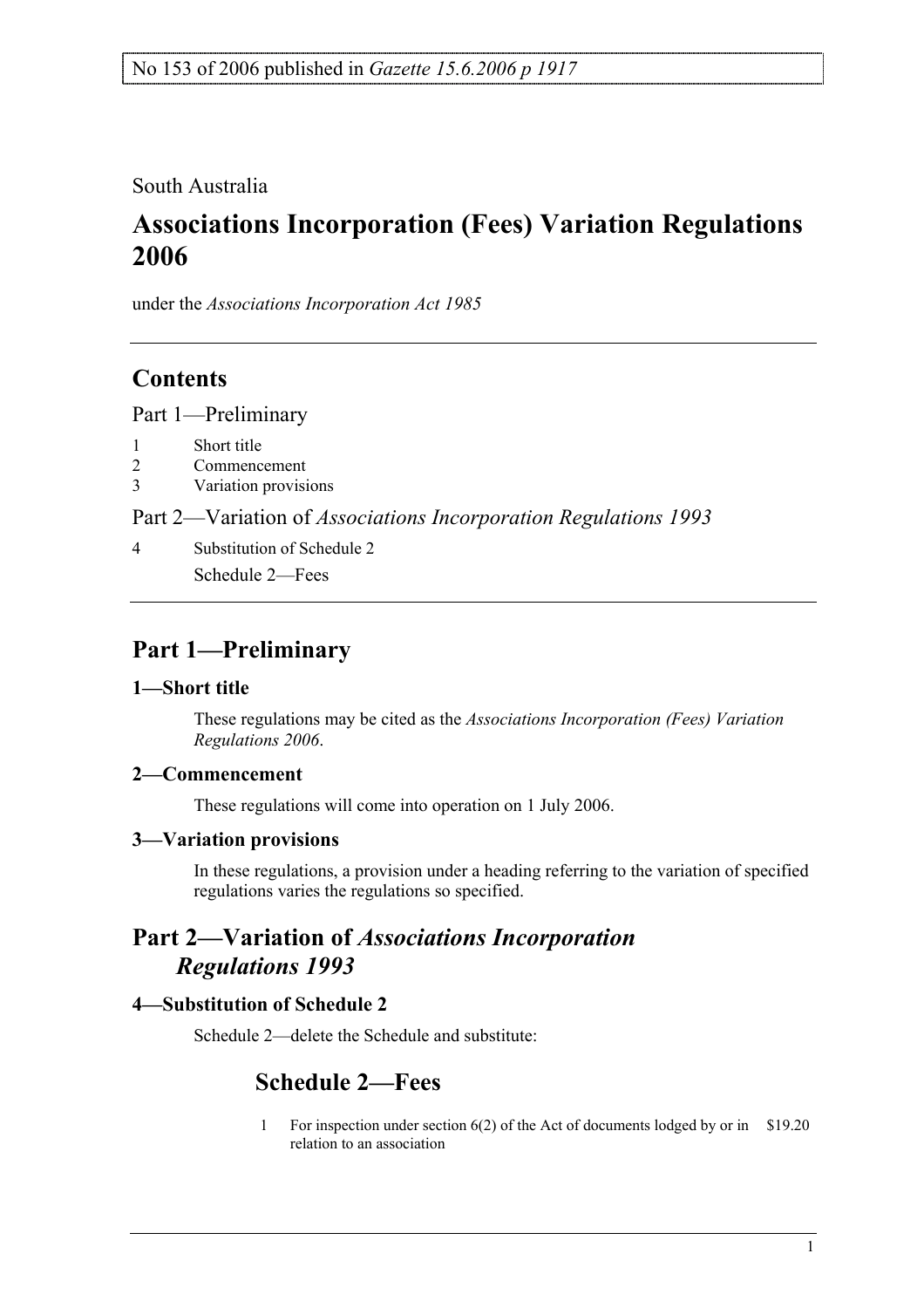### South Australia

# **Associations Incorporation (Fees) Variation Regulations 2006**

under the *Associations Incorporation Act 1985*

### **Contents**

Part 1—Preliminary

- 1 Short title
- 2 Commencement
- 3 Variation provisions

Part 2—Variation of *Associations Incorporation Regulations 1993*

4 Substitution of Schedule 2 Schedule 2—Fees

## **Part 1—Preliminary**

#### **1—Short title**

These regulations may be cited as the *Associations Incorporation (Fees) Variation Regulations 2006*.

### **2—Commencement**

These regulations will come into operation on 1 July 2006.

#### **3—Variation provisions**

In these regulations, a provision under a heading referring to the variation of specified regulations varies the regulations so specified.

### **Part 2—Variation of** *Associations Incorporation Regulations 1993*

### **4—Substitution of Schedule 2**

Schedule 2—delete the Schedule and substitute:

### **Schedule 2—Fees**

1 For inspection under section 6(2) of the Act of documents lodged by or in \$19.20relation to an association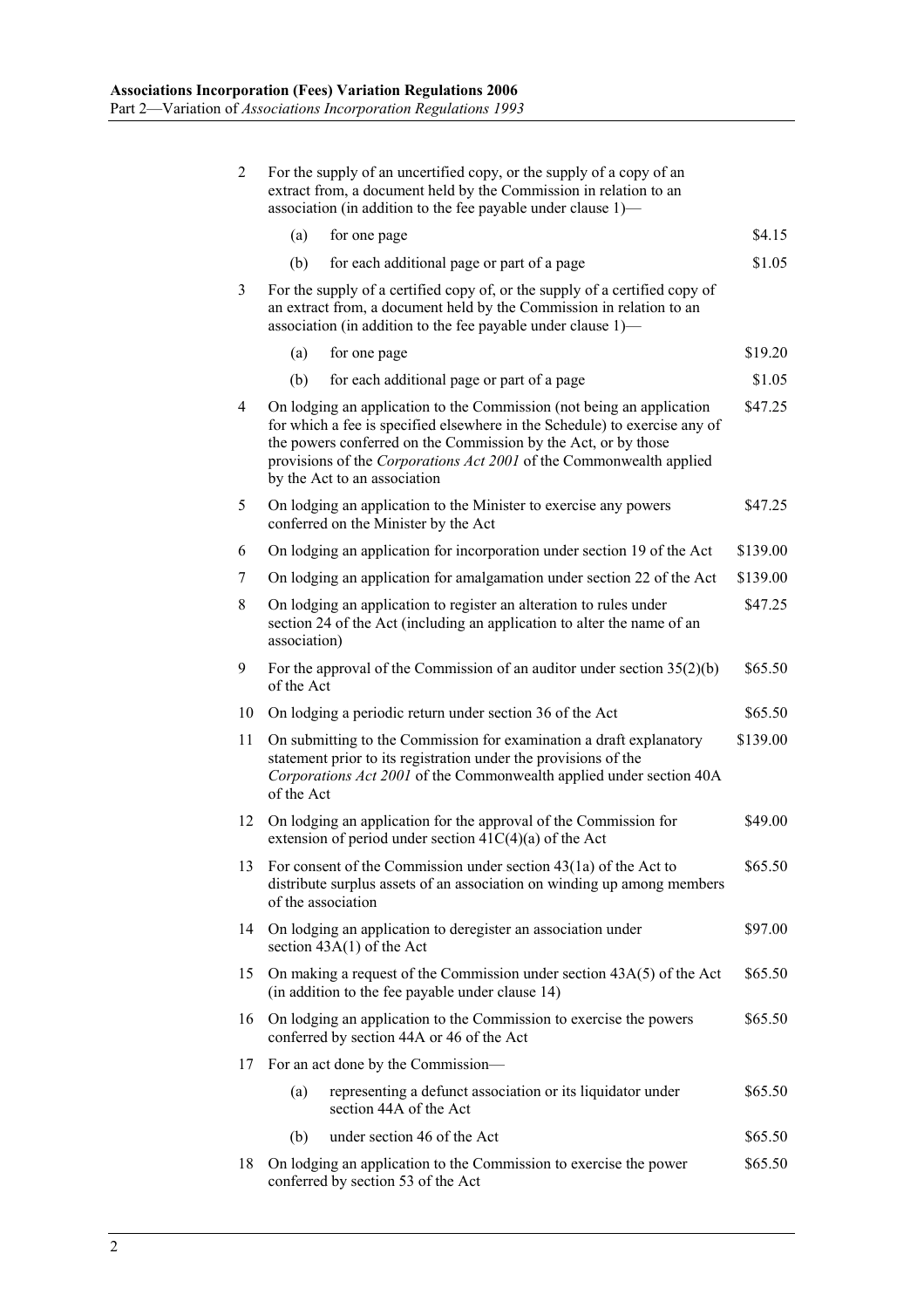| $\overline{2}$ | For the supply of an uncertified copy, or the supply of a copy of an<br>extract from, a document held by the Commission in relation to an<br>association (in addition to the fee payable under clause 1)—                                                                                                                    |                                                                                                         |          |
|----------------|------------------------------------------------------------------------------------------------------------------------------------------------------------------------------------------------------------------------------------------------------------------------------------------------------------------------------|---------------------------------------------------------------------------------------------------------|----------|
|                | (a)                                                                                                                                                                                                                                                                                                                          | for one page                                                                                            | \$4.15   |
|                | (b)                                                                                                                                                                                                                                                                                                                          | for each additional page or part of a page                                                              | \$1.05   |
| 3              | For the supply of a certified copy of, or the supply of a certified copy of<br>an extract from, a document held by the Commission in relation to an<br>association (in addition to the fee payable under clause 1)—                                                                                                          |                                                                                                         |          |
|                | (a)                                                                                                                                                                                                                                                                                                                          | for one page                                                                                            | \$19.20  |
|                | (b)                                                                                                                                                                                                                                                                                                                          | for each additional page or part of a page                                                              | \$1.05   |
| 4              | On lodging an application to the Commission (not being an application<br>for which a fee is specified elsewhere in the Schedule) to exercise any of<br>the powers conferred on the Commission by the Act, or by those<br>provisions of the Corporations Act 2001 of the Commonwealth applied<br>by the Act to an association |                                                                                                         | \$47.25  |
| 5              | On lodging an application to the Minister to exercise any powers<br>conferred on the Minister by the Act                                                                                                                                                                                                                     |                                                                                                         | \$47.25  |
| 6              |                                                                                                                                                                                                                                                                                                                              | On lodging an application for incorporation under section 19 of the Act                                 | \$139.00 |
| 7              | On lodging an application for amalgamation under section 22 of the Act                                                                                                                                                                                                                                                       |                                                                                                         | \$139.00 |
| 8              | On lodging an application to register an alteration to rules under<br>section 24 of the Act (including an application to alter the name of an<br>association)                                                                                                                                                                |                                                                                                         | \$47.25  |
| 9              | For the approval of the Commission of an auditor under section $35(2)(b)$<br>of the Act                                                                                                                                                                                                                                      |                                                                                                         | \$65.50  |
| 10             | On lodging a periodic return under section 36 of the Act                                                                                                                                                                                                                                                                     |                                                                                                         | \$65.50  |
| 11             | On submitting to the Commission for examination a draft explanatory<br>statement prior to its registration under the provisions of the<br>Corporations Act 2001 of the Commonwealth applied under section 40A<br>of the Act                                                                                                  |                                                                                                         | \$139.00 |
| 12             | On lodging an application for the approval of the Commission for<br>extension of period under section $41C(4)(a)$ of the Act                                                                                                                                                                                                 |                                                                                                         | \$49.00  |
| 13             | For consent of the Commission under section $43(1a)$ of the Act to<br>distribute surplus assets of an association on winding up among members<br>of the association                                                                                                                                                          |                                                                                                         | \$65.50  |
| 14             | On lodging an application to deregister an association under<br>section $43A(1)$ of the Act                                                                                                                                                                                                                                  |                                                                                                         | \$97.00  |
| 15             | On making a request of the Commission under section $43A(5)$ of the Act<br>(in addition to the fee payable under clause 14)                                                                                                                                                                                                  |                                                                                                         | \$65.50  |
| 16             | On lodging an application to the Commission to exercise the powers<br>conferred by section 44A or 46 of the Act                                                                                                                                                                                                              |                                                                                                         | \$65.50  |
| 17             | For an act done by the Commission-                                                                                                                                                                                                                                                                                           |                                                                                                         |          |
|                | (a)                                                                                                                                                                                                                                                                                                                          | representing a defunct association or its liquidator under<br>section 44A of the Act                    | \$65.50  |
|                | (b)                                                                                                                                                                                                                                                                                                                          | under section 46 of the Act                                                                             | \$65.50  |
| 18             |                                                                                                                                                                                                                                                                                                                              | On lodging an application to the Commission to exercise the power<br>conferred by section 53 of the Act | \$65.50  |